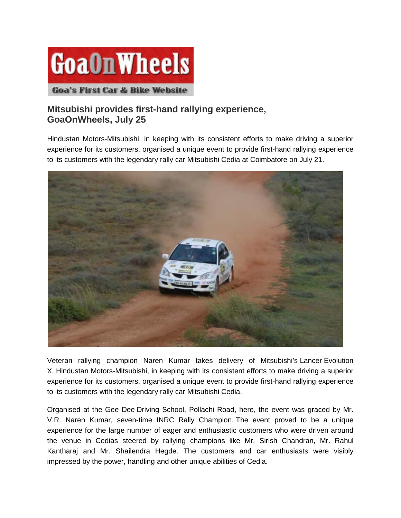

## **Mitsubishi provides first-hand rallying experience, GoaOnWheels, July 25**

Hindustan Motors-Mitsubishi, in keeping with its consistent efforts to make driving a superior experience for its customers, organised a unique event to provide first-hand rallying experience to its customers with the legendary rally car Mitsubishi Cedia at Coimbatore on July 21.



Veteran rallying champion Naren Kumar takes delivery of Mitsubishi's Lancer Evolution X. Hindustan Motors-Mitsubishi, in keeping with its consistent efforts to make driving a superior experience for its customers, organised a unique event to provide first-hand rallying experience to its customers with the legendary rally car Mitsubishi Cedia.

Organised at the Gee Dee Driving School, Pollachi Road, here, the event was graced by Mr. V.R. Naren Kumar, seven-time INRC Rally Champion. The event proved to be a unique experience for the large number of eager and enthusiastic customers who were driven around the venue in Cedias steered by rallying champions like Mr. Sirish Chandran, Mr. Rahul Kantharaj and Mr. Shailendra Hegde. The customers and car enthusiasts were visibly impressed by the power, handling and other unique abilities of Cedia.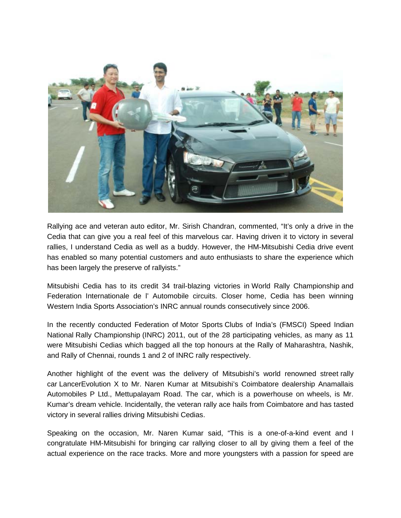

Rallying ace and veteran auto editor, Mr. Sirish Chandran, commented, "It's only a drive in the Cedia that can give you a real feel of this marvelous car. Having driven it to victory in several rallies, I understand Cedia as well as a buddy. However, the HM-Mitsubishi Cedia drive event has enabled so many potential customers and auto enthusiasts to share the experience which has been largely the preserve of rallyists."

Mitsubishi Cedia has to its credit 34 trail-blazing victories in World Rally Championship and Federation Internationale de l' Automobile circuits. Closer home, Cedia has been winning Western India Sports Association's INRC annual rounds consecutively since 2006.

In the recently conducted Federation of Motor Sports Clubs of India's (FMSCI) Speed Indian National Rally Championship (INRC) 2011, out of the 28 participating vehicles, as many as 11 were Mitsubishi Cedias which bagged all the top honours at the Rally of Maharashtra, Nashik, and Rally of Chennai, rounds 1 and 2 of INRC rally respectively.

Another highlight of the event was the delivery of Mitsubishi's world renowned street rally car LancerEvolution X to Mr. Naren Kumar at Mitsubishi's Coimbatore dealership Anamallais Automobiles P Ltd., Mettupalayam Road. The car, which is a powerhouse on wheels, is Mr. Kumar's dream vehicle. Incidentally, the veteran rally ace hails from Coimbatore and has tasted victory in several rallies driving Mitsubishi Cedias.

Speaking on the occasion, Mr. Naren Kumar said, "This is a one-of-a-kind event and I congratulate HM-Mitsubishi for bringing car rallying closer to all by giving them a feel of the actual experience on the race tracks. More and more youngsters with a passion for speed are